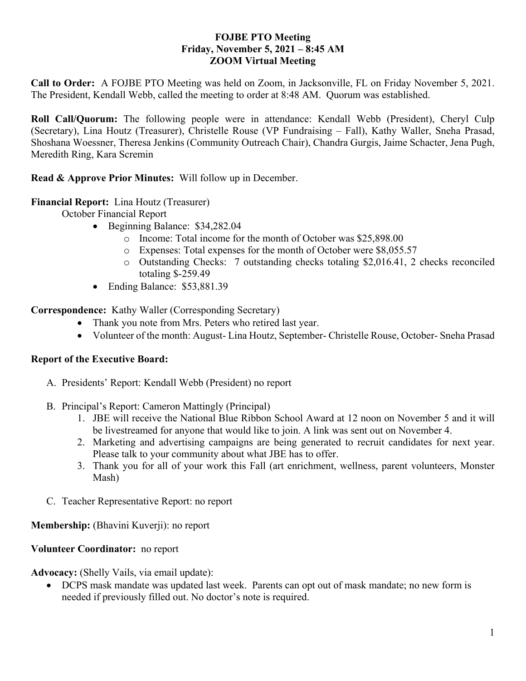#### **FOJBE PTO Meeting Friday, November 5, 2021 – 8:45 AM ZOOM Virtual Meeting**

**Call to Order:** A FOJBE PTO Meeting was held on Zoom, in Jacksonville, FL on Friday November 5, 2021. The President, Kendall Webb, called the meeting to order at 8:48 AM. Quorum was established.

**Roll Call/Quorum:** The following people were in attendance: Kendall Webb (President), Cheryl Culp (Secretary), Lina Houtz (Treasurer), Christelle Rouse (VP Fundraising – Fall), Kathy Waller, Sneha Prasad, Shoshana Woessner, Theresa Jenkins (Community Outreach Chair), Chandra Gurgis, Jaime Schacter, Jena Pugh, Meredith Ring, Kara Scremin

**Read & Approve Prior Minutes:** Will follow up in December.

## **Financial Report:** Lina Houtz (Treasurer)

October Financial Report

- Beginning Balance: \$34,282.04
	- o Income: Total income for the month of October was \$25,898.00
	- o Expenses: Total expenses for the month of October were \$8,055.57
	- o Outstanding Checks: 7 outstanding checks totaling \$2,016.41, 2 checks reconciled totaling \$-259.49
- Ending Balance: \$53,881.39

**Correspondence:** Kathy Waller (Corresponding Secretary)

- Thank you note from Mrs. Peters who retired last year.
- Volunteer of the month: August- Lina Houtz, September- Christelle Rouse, October- Sneha Prasad

# **Report of the Executive Board:**

- A. Presidents' Report: Kendall Webb (President) no report
- B. Principal's Report: Cameron Mattingly (Principal)
	- 1. JBE will receive the National Blue Ribbon School Award at 12 noon on November 5 and it will be livestreamed for anyone that would like to join. A link was sent out on November 4.
	- 2. Marketing and advertising campaigns are being generated to recruit candidates for next year. Please talk to your community about what JBE has to offer.
	- 3. Thank you for all of your work this Fall (art enrichment, wellness, parent volunteers, Monster Mash)
- C. Teacher Representative Report: no report

**Membership:** (Bhavini Kuverji): no report

#### **Volunteer Coordinator:** no report

**Advocacy:** (Shelly Vails, via email update):

• DCPS mask mandate was updated last week. Parents can opt out of mask mandate; no new form is needed if previously filled out. No doctor's note is required.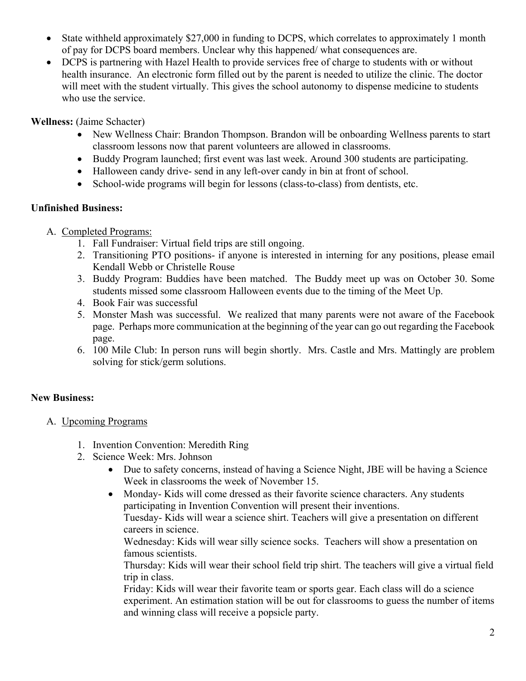- State withheld approximately \$27,000 in funding to DCPS, which correlates to approximately 1 month of pay for DCPS board members. Unclear why this happened/ what consequences are.
- DCPS is partnering with Hazel Health to provide services free of charge to students with or without health insurance. An electronic form filled out by the parent is needed to utilize the clinic. The doctor will meet with the student virtually. This gives the school autonomy to dispense medicine to students who use the service.

**Wellness:** (Jaime Schacter)

- New Wellness Chair: Brandon Thompson. Brandon will be onboarding Wellness parents to start classroom lessons now that parent volunteers are allowed in classrooms.
- Buddy Program launched; first event was last week. Around 300 students are participating.
- Halloween candy drive- send in any left-over candy in bin at front of school.
- School-wide programs will begin for lessons (class-to-class) from dentists, etc.

## **Unfinished Business:**

- A. Completed Programs:
	- 1. Fall Fundraiser: Virtual field trips are still ongoing.
	- 2. Transitioning PTO positions- if anyone is interested in interning for any positions, please email Kendall Webb or Christelle Rouse
	- 3. Buddy Program: Buddies have been matched. The Buddy meet up was on October 30. Some students missed some classroom Halloween events due to the timing of the Meet Up.
	- 4. Book Fair was successful
	- 5. Monster Mash was successful. We realized that many parents were not aware of the Facebook page. Perhaps more communication at the beginning of the year can go out regarding the Facebook page.
	- 6. 100 Mile Club: In person runs will begin shortly. Mrs. Castle and Mrs. Mattingly are problem solving for stick/germ solutions.

# **New Business:**

- A. Upcoming Programs
	- 1. Invention Convention: Meredith Ring
	- 2. Science Week: Mrs. Johnson
		- Due to safety concerns, instead of having a Science Night, JBE will be having a Science Week in classrooms the week of November 15.
		- Monday- Kids will come dressed as their favorite science characters. Any students participating in Invention Convention will present their inventions. Tuesday- Kids will wear a science shirt. Teachers will give a presentation on different careers in science.

Wednesday: Kids will wear silly science socks. Teachers will show a presentation on famous scientists.

Thursday: Kids will wear their school field trip shirt. The teachers will give a virtual field trip in class.

Friday: Kids will wear their favorite team or sports gear. Each class will do a science experiment. An estimation station will be out for classrooms to guess the number of items and winning class will receive a popsicle party.